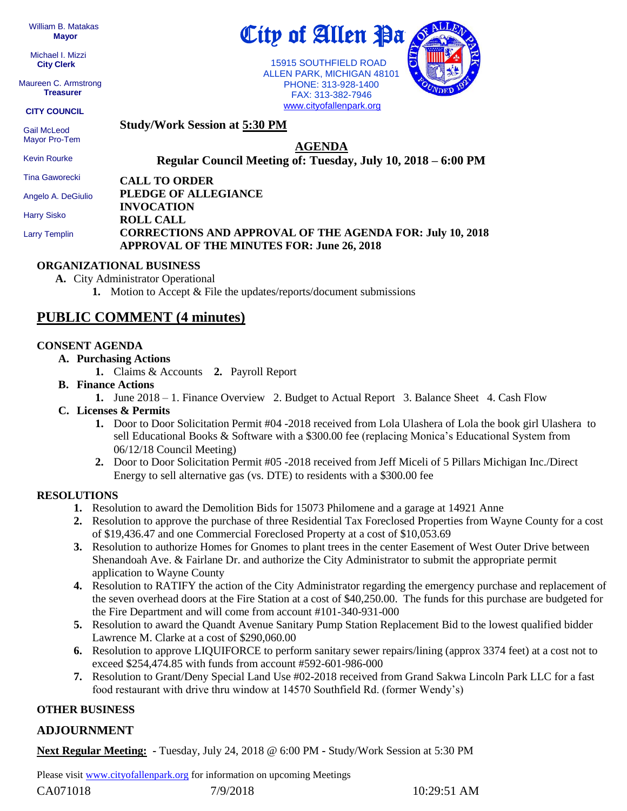William B. Matakas  **Mayor**

 Michael I. Mizzi **City Clerk**

Maureen C. Armstrong **Treasurer**

**CITY COUNCIL**

 Gail McLeod Mayor Pro-Tem Kevin Rourke

**Study/Work Session at 5:30 PM**

**PLEDGE OF ALLEGIANCE**

### **AGENDA**

**Regular Council Meeting of: Tuesday, July 10, 2018 – 6:00 PM** 

**CALL TO ORDER** Tina Gaworecki

Angelo A. DeGiulio

Harry Sisko

Larry Templin

#### **ROLL CALL CORRECTIONS AND APPROVAL OF THE AGENDA FOR: July 10, 2018 APPROVAL OF THE MINUTES FOR: June 26, 2018**

#### **ORGANIZATIONAL BUSINESS**

**A.** City Administrator Operational

**INVOCATION**

**1.** Motion to Accept & File the updates/reports/document submissions

## **PUBLIC COMMENT (4 minutes)**

#### **CONSENT AGENDA**

- **A. Purchasing Actions**
	- **1.** Claims & Accounts **2.** Payroll Report
- **B. Finance Actions**
	- **1.** June 2018 1. Finance Overview 2. Budget to Actual Report 3. Balance Sheet 4. Cash Flow
- **C. Licenses & Permits**
	- **1.** Door to Door Solicitation Permit #04 -2018 received from Lola Ulashera of Lola the book girl Ulashera to sell Educational Books & Software with a \$300.00 fee (replacing Monica's Educational System from 06/12/18 Council Meeting)
	- **2.** Door to Door Solicitation Permit #05 -2018 received from Jeff Miceli of 5 Pillars Michigan Inc./Direct Energy to sell alternative gas (vs. DTE) to residents with a \$300.00 fee

#### **RESOLUTIONS**

- **1.** Resolution to award the Demolition Bids for 15073 Philomene and a garage at 14921 Anne
- **2.** Resolution to approve the purchase of three Residential Tax Foreclosed Properties from Wayne County for a cost of \$19,436.47 and one Commercial Foreclosed Property at a cost of \$10,053.69
- **3.** Resolution to authorize Homes for Gnomes to plant trees in the center Easement of West Outer Drive between Shenandoah Ave. & Fairlane Dr. and authorize the City Administrator to submit the appropriate permit application to Wayne County
- **4.** Resolution to RATIFY the action of the City Administrator regarding the emergency purchase and replacement of the seven overhead doors at the Fire Station at a cost of \$40,250.00. The funds for this purchase are budgeted for the Fire Department and will come from account #101-340-931-000
- **5.** Resolution to award the Quandt Avenue Sanitary Pump Station Replacement Bid to the lowest qualified bidder Lawrence M. Clarke at a cost of \$290,060.00
- **6.** Resolution to approve LIQUIFORCE to perform sanitary sewer repairs/lining (approx 3374 feet) at a cost not to exceed \$254,474.85 with funds from account #592-601-986-000
- **7.** Resolution to Grant/Deny Special Land Use #02-2018 received from Grand Sakwa Lincoln Park LLC for a fast food restaurant with drive thru window at 14570 Southfield Rd. (former Wendy's)

## **OTHER BUSINESS**

### **ADJOURNMENT**

**Next Regular Meeting: -** Tuesday, July 24, 2018 @ 6:00 PM **-** Study/Work Session at 5:30 PM

Please visit [www.cityofallenpark.org](http://www.cityofallenpark.org/) for information on upcoming Meetings

CA071018 7/9/2018 10:29:51 AM



[www.cityofallenpark.org](http://www.cityofallenpark.org/)